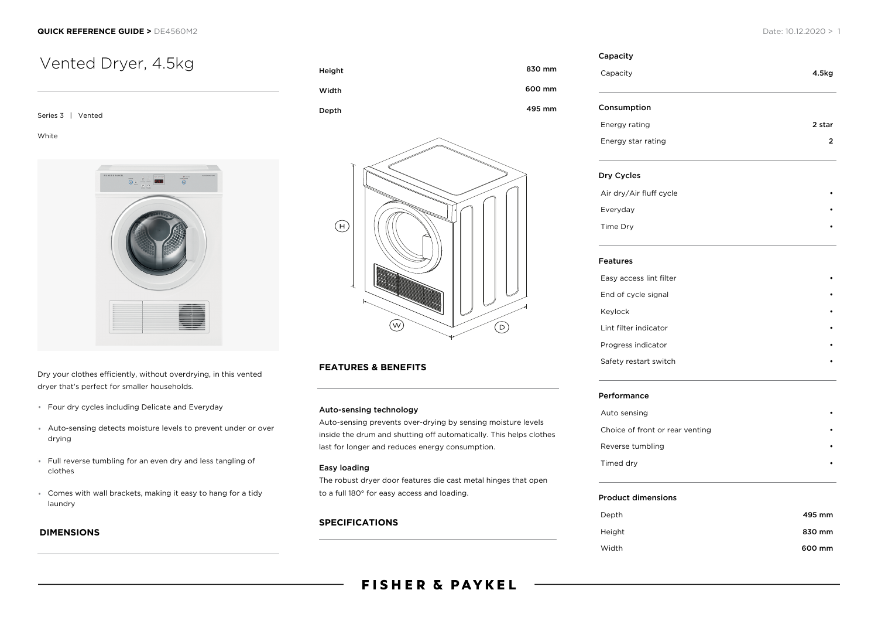# Vented Dryer, 4.5kg

Series 3 | Vented

White



Dry your clothes efficiently, without overdrying, in this vented dryer that's perfect for smaller households.

- Four dry cycles including Delicate and Everyday
- Auto-sensing detects moisture levels to prevent under or over drying
- Full reverse tumbling for an even dry and less tangling of clothes
- Comes with wall brackets, making it easy to hang for a tidy laundry

### **DIMENSIONS**





#### **FEATURES & BENEFITS**

#### Auto-sensing technology

Auto-sensing prevents over-drying by sensing moisture levels inside the drum and shutting off automatically. This helps clothes last for longer and reduces energy consumption.

#### Easy loading

The robust dryer door features die cast metal hinges that open to a full 180° for easy access and loading.

#### **SPECIFICATIONS**

| Capacity                | 4.5kg          |
|-------------------------|----------------|
| Consumption             |                |
| Energy rating           | 2 star         |
| Energy star rating      | $\overline{2}$ |
| Dry Cycles              |                |
| Air dry/Air fluff cycle |                |
| Everyday                |                |
| Time Dry                |                |
| <b>Features</b>         |                |
| Easy access lint filter |                |
| End of cycle signal     |                |
| Keylock                 |                |
| Lint filter indicator   |                |
| Progress indicator      |                |
| Safety restart switch   |                |

#### Performance

| Auto sensing                    |  |
|---------------------------------|--|
| Choice of front or rear venting |  |
| Reverse tumbling                |  |
| Timed dry                       |  |
|                                 |  |

#### Product dimensions

| Depth  | 495 mm |
|--------|--------|
| Height | 830 mm |
| Width  | 600 mm |

## **FISHER & PAYKEL**